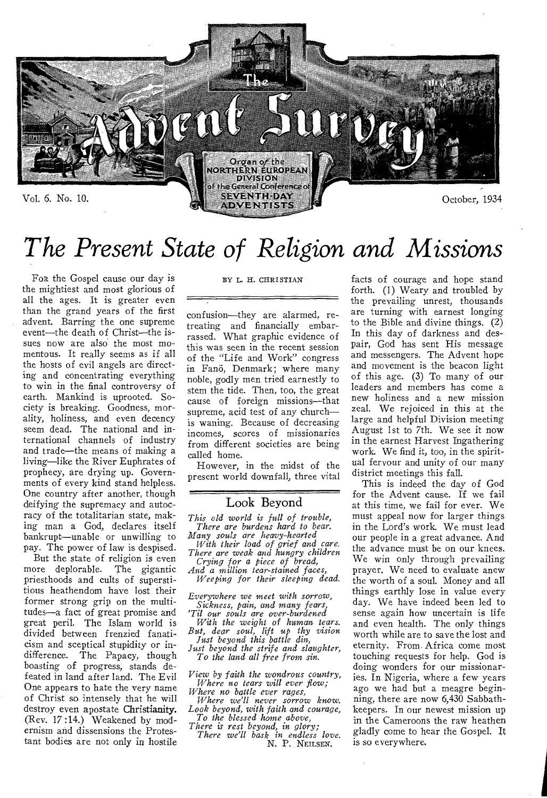

# *The Present State of Religion and Missions*

FoR the Gospel cause our day is the mightiest and most glorious of all the ages. It is greater even than the grand years of the first advent. Barring the one supreme event—the death of Christ—the issues now are also the most momentous. It really seems as if all the hosts of evil angels are directing and concentrating everything to win in the final controversy of earth. Mankind is uprooted. Society is breaking. Goodness, morality, holiness, and even decency seem dead. The national and international channels of industry and trade—the means of making a living—like the River Euphrates of prophecy, are drying up. Governments of every kind stand helpless. One country after another, though deifying the supremacy and autocracy of the totalitarian state, making man a God, declares itself bankrupt—unable or unwilling to pay. The power of law is despised.

But the state of religion is even more deplorable. The gigantic priesthoods and cults of superstitious heathendom have lost their former strong grip on the multitudes—a fact of great promise and great peril. The Islam world is divided between frenzied fanaticism and sceptical stupidity or indifference. The Papacy, though boasting of progress, stands defeated in land after land. The Evil One appears to hate the very name of Christ so intensely that he will destroy even apostate Christianity. (Rev. 17:14.) Weakened by modernism and dissensions the Protestant bodies are not only in hostile

#### BY L. H. CHRISTIAN

confusion—they are alarmed, retreating and financially embarrassed. What graphic evidence of this was seen in the recent session of the "Life and Work" congress in Fanö, Denmark; where many noble, godly men tried earnestly to stem the tide. Then, too, the great cause of foreign missions—that supreme, acid test of any church is waning. Because of decreasing incomes, scores of missionaries from different societies are being called home.

However, in the midst of the present world downfall, three vital

### Look Beyond

*This old world is full of trouble, There are burdens hard to bear. Many souls are heavy-hearted* 

*With their load of grief and care. There are weak and hungry children Crying for a piece of bread,* 

*And a million tear-stained faces, Weeping for their sleeping dead.* 

*Everywhere we meet with sorrow, Sickness, pain, and many fears, 'Til our souls are over-burdened* 

*With the weight of human tears. But, dear soul, lift up thy vision Just beyond this battle din,* 

*Just beyond the strife and slaughter, To the land all free from sin.* 

*View by faith the wondrous country, Where no tears will ever flow;* 

*Where no battle ever rages, Where we'll never sorrow know. Look beyond, with faith and courage, To the blessed home above,* 

*There is rest beyond, in glory; There we'll bask in endless love.*  N. P. NEILSEN.

facts of courage and hope stand forth. (1) Weary and troubled by the prevailing unrest, thousands are turning with earnest longing to the Bible and divine things. (2) In this day of darkness and despair, God has sent His message and messengers. The Advent hope and movement is the beacon light of this age. (3) To many of our leaders and members has come a new holiness and a new mission zeal. We rejoiced in this at the large and helpful Division meeting August 1st to 7th. We see it now in the earnest Harvest Ingathering work. We find it, too, in the spiritual fervour and unity of our many district meetings this fall.

This is indeed the day of God for the Advent cause. If we fail at this time, we fail for ever. We must appeal now for larger things in the Lord's work. We must lead our people in a great advance. And the advance must be on our knees. We win only through prevailing prayer. We need to evaluate anew the worth of a soul. Money and all things earthly lose in value every day. We have indeed been led to sense again how uncertain is life and even health. The only things worth while are to save the lost and eternity. From. Africa come most touching requests for help. God is doing wonders for our missionaries. In Nigeria, where a few years ago we had but a meagre beginning, there are now 6,430 Sabbathkeepers. In our newest mission up in the Cameroons the raw heathen gladly come to hear the Gospel. It is so everywhere.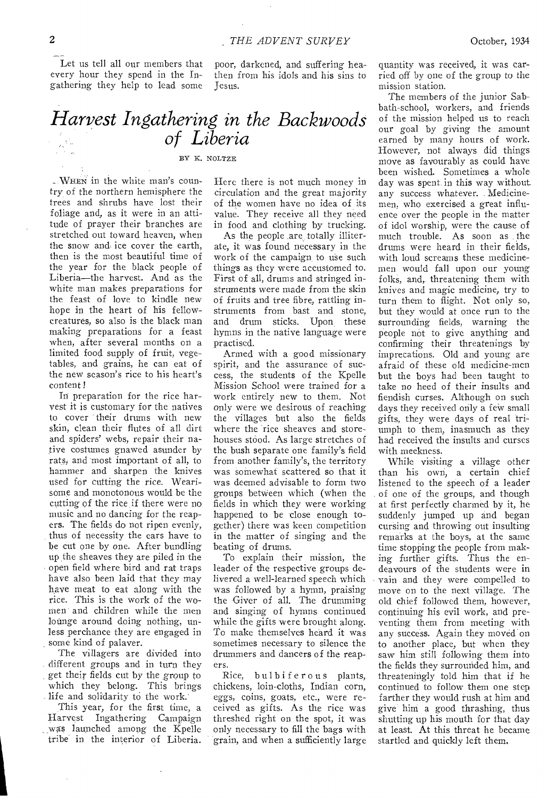Let us tell all our members that every hour they spend in the Ingathering they help to lead some

poor, darkened, and suffering heathen from his idols and his sins to Jesus.

## *Harvest Ingathering in the Backwoods of Liberia*

## BY K. NOLTZE

... WHEN in the white man's country of the northern hemisphere the trees and shrubs have lost their foliage and, as it were in an attitude of prayer their branches are stretched out toward heaven, when the snow and ice cover the earth, then is the most beautiful time of the year for the black people of Liberia—the harvest. And as the white man makes preparations for the feast of love to kindle new hope in the heart of his fellowcreatures, so also is the black man making preparations for a feast when, after several months on a limited food supply of fruit, vegetables, and grains, he can eat of the new season's rice to his heart's content!

In preparation for the rice harvest it is customary for the natives to cover their drums with new skin, clean their flutes of all dirt and spiders' webs, repair their native costumes gnawed asunder by rats, and most important of all, to hammer and sharpen the knives used for cutting the rice. Wearisome and monotonous would be the cutting of the rice if there were no music and no dancing for the reapers. The fields do not ripen evenly, thus of necessity the ears have to be cut one by one. After bundling up the sheaves they are piled in the open field where bird and rat traps have also been laid that they may have meat to eat along with the rice. This is the work of the women and children while the men lounge around doing nothing, unless perchance they are engaged in some kind of palaver.

The villagers are divided into different groups and in turn they *get* their fields cut by the group to which they belong. This brings life and solidarity to the work.

This year, for the first time, a Harvest Ingathering Campaign was launched among the Kpelle tribe in the interior of Liberia.

Here there is not much money in circulation and the great majority of the women have no idea of its value. They receive all they need in food and clothing by trucking.

As the people are totally illiterate, it was found necessary in the work of the campaign to use such things as they were accustomed to. First of all, drums and stringed instruments were made from the skin of fruits and tree fibre, rattling instruments from bast and stone, and drum sticks. Upon these hymns in the native language were practised.

Armed with a good missionary spirit, and the assurance of success, the students of the Kpelle Mission School were trained for a work entirely new to them. Not only were we desirous of reaching the villages but also the fields where the rice sheaves and storehouses stood. As large stretches of the bush separate one family's field from another family's, the territory was somewhat scattered so that it was deemed advisable to form two groups between which (when the fields in which they were working happened to be close enough together) there was keen competition in the matter of singing and the beating of drums.

To explain their mission, the leader of the respective groups delivered a well-learned speech which was followed by a hymn, praising the Giver of all. The drumming and singing of hymns continued while the gifts were brought along. To make themselves heard it was sometimes necessary to silence the drummers and dancers of the reapers.

Rice, bulbiferous plants, chickens, loin-cloths, Indian corn, eggs, coins, goats, etc., were received as gifts. As the rice was threshed right on the spot, it was only necessary to fill the bags with grain, and when a sufficiently large quantity was received, it was carried off by one of the group to the mission station.

The members of the junior Sabbath-school, workers, and friends of the mission helped us to reach our goal by giving the amount earned by many hours of work. However, not always did things move as favourably as could have been wished. Sometimes a whole day was spent in this way without any success whatever. Medicinemen, who exercised a great influence over the people in the matter of idol worship, were the cause of much trouble. As soon as the drums were heard in their fields, with loud screams these medicinemen would fall upon our young folks, and, threatening them with knives and magic medicine, try to turn them to flight. Not only so, but they would at once run to the surrounding fields, warning the people not to give anything and confirming their threatenings by imprecations. Old and young are afraid of these old medicine-men but the boys had been taught to take no heed of their insults and fiendish curses. Although on such days they received only a few small gifts, they were days of real triumph to them, inasmuch as they had received the insults and curses with meekness.

While visiting a village other than his own, a certain chief listened to the speech of a leader of one of the groups, and though at first perfectly charmed by it, he suddenly jumped up and began cursing and throwing out insulting remarks at the boys, at the same time stopping the people from making further gifts. Thus the endeavours of the students were in vain and they were compelled to move on to the next village. The old chief followed them, however, continuing his evil work, and preventing them from meeting with any success. Again they moved on to another place, but when they saw him still following them into the fields they surrounded him, and threateningly told him that if he continued to follow them one step farther they would rush at him and give him a good thrashing, thus shutting up his mouth for that day at least. At this threat he became startled and quickly left them.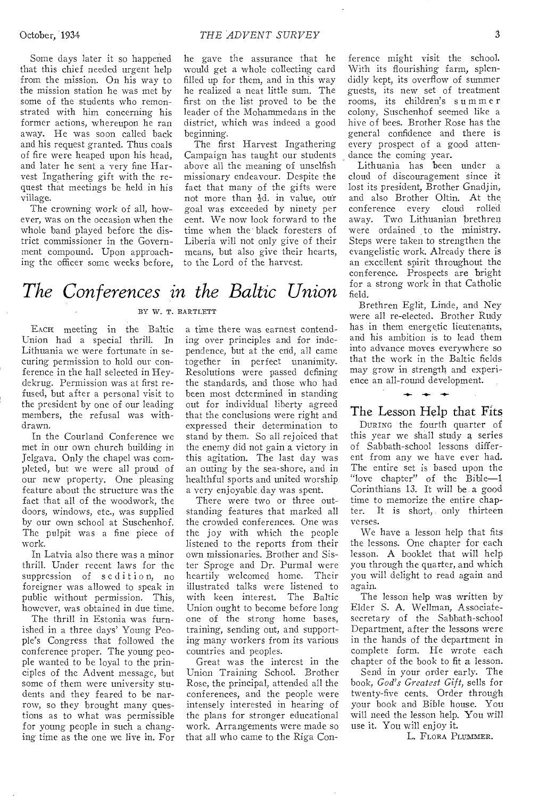October, 1934 *THE ADVENT SURVEY* 

Some days later it so happened that this chief needed urgent help from the mission. On his way to the mission station he was met by some of the students who remonstrated with him concerning his former actions, whereupon he ran away. He was soon called back and his request granted. Thus coals of fire were heaped upon his head, and later he sent a very fine Harvest Ingathering gift with the request that meetings be held in his village.

The crowning work of all, however, was on the occasion when the whole band played before the district commissioner in the Government compound. Upon approaching the officer some weeks before, he gave the assurance that he would get a whole collecting card filled up for them, and in this way he realized a neat little sum. The first on the list proved to be the leader of the Mohammedans in the district, which was indeed a good beginning.

The first Harvest Ingathering Campaign has taught our students above all the meaning of unselfish missionary endeavour. Despite the fact that many of the gifts were not more than  $\frac{1}{2}d$ . in value, our goal was exceeded by ninety per cent. We now look forward to the time when the black foresters of Liberia will not only give of their means, but also give their hearts, to the Lord of the harvest.

*The Conferences in the Baltic Union*  BY W. T. BARTLETT

EACH meeting in the Baltic Union had a special thrill. In Lithuania we were fortunate in securing permission to hold our conference in the hall selected in Heydekrug. Permission was at first refused, but after a personal visit to the president by one of our leading members, the refusal was withdrawn.

In the Courland Conference we met in our own church building in Jelgava. Only the chapel was completed, but we were all proud of our new property. One pleasing feature about the structure was the fact that all of the woodwork, the doors, windows, etc., was supplied by our own school at Suschenhof. The pulpit was a fine piece of work.

In Latvia also there was a minor thrill. Under recent laws for the suppression of sedition, no foreigner was allowed to speak in public without permission. This, however, was obtained in due time.

The thrill in Estonia was furnished in a three days' Young People's Congress that followed the conference proper. The young people wanted to be loyal to the principles of the Advent message, but some of them were university students and they feared to be narrow, so they brought many questions as to what was permissible for young people in such a changing time as the one we live in. For a time there was earnest contending over principles and for independence, but at the end, all came together in perfect unanimity. Resolutions were passed defining the standards, and those who had been most determined in standing out for individual liberty agreed that the conclusions were right and expressed their determination to stand by them. So all rejoiced that the enemy did not gain a victory in this agitation. The last day was an outing by the sea-shore, and in healthful sports and united worship a very enjoyable day was spent.

There were two or three outstanding features that marked all the crowded conferences. One was the joy with which the people listened to the reports from their own missionaries. Brother and Sister Sproge and Dr. Purmal were heartily welcomed home. Their illustrated talks were listened to with keen interest. The Baltic Union ought to become before long one of the strong home bases, training, sending out, and supporting many workers from its various countries and peoples.

Great was the interest in the Union Training School. Brother Rose, the principal, attended all the conferences, and the people were intensely interested in hearing of the plans for stronger educational work. Arrangements were made so that all who came to the Riga Con-

ference might visit the school. With its flourishing farm, splendidly kept, its overflow of summer guests, its new set of treatment rooms, its children's summ e r colony, Suschenhof seemed like a hive of bees. Brother Rose has the general confidence and there is every prospect of a good attendance the coming year.

Lithuania has been under a cloud of discouragement since it lost its president, Brother Gnadjin, and also Brother Oltin. At the conference every cloud rolled away. Two Lithuanian brethren were ordained to the ministry. Steps were taken to strengthen the evangelistic work. Already there is an excellent spirit throughout the conference. Prospects are bright for a strong work in that Catholic field.

Brethren Eglit, Linde, and Ney were all re-elected. Brother Rudy has in them energetic lieutenants, and his ambition is to lead them into advance moves everywhere so that the work in the Baltic fields may grow in strength and experience an all-round development.

## $+ + +$ The Lesson Help that Fits

DURING the fourth quarter of this year we shall study a series of Sabbath-school lessons different from any we have ever had. The entire set is based upon the "love chapter" of the Bible--1 Corinthians 13. It will be a good time to memorize the entire chapter. It is short, only thirteen verses.

We have a lesson help that fits the lessons. One chapter for each lesson. A booklet that will help you through the quarter, and which you will delight to read again and again.

The lesson help was written by Elder S. A. Wellman, Associatesecretary of the Sabbath-school Department, after the lessons were in the hands of the department in complete form. He wrote each chapter of the book to fit a lesson.

Send in your order early. The book, *God's Greatest Gift,* sells for twenty-five cents. Order through your book and Bible house. You will need the lesson help. You will use it. You will enjoy it.

L. FLORA PLUMMER.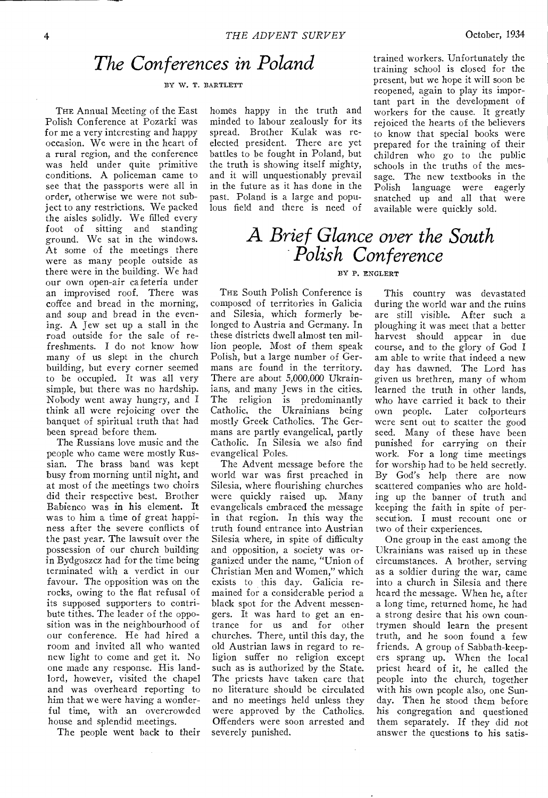## *The Conferences in Poland*

BY W. T. BARTLETT

THE Annual Meeting of the East Polish Conference at Pozarki was for me a very interesting and happy occasion. We were in the heart of a rural region, and the conference was held under quite primitive conditions. A policeman came to see that the passports were all in order, otherwise we were not subject to any restrictions. We packed the aisles solidly. We filled every foot of sitting and standing ground. We sat in the windows. At some of the meetings there were as many people outside as there were in the building. We had our own open-air cafeteria under an improvised roof. There was coffee and bread in the morning, and soup and bread in the evening. A Jew set up a stall in the road outside for the sale of refreshments. I do not know how many of us slept in the church building, but every corner seemed to be occupied. It was all very simple, but there was no hardship. Nobody went away hungry, and I think all were rejoicing over the banquet of spiritual truth that had been spread before them.

The Russians love music and the people who came were mostly Russian. The brass band was kept busy from morning until night, and at most of the meetings two choirs did their respective best. Brother Babienco was in his element. It was to him a time of great happiness after the severe conflicts of the past year. The lawsuit over the possession of our church building in Bydgoszcz had for the time being terminated with a verdict in our favour. The opposition was on the rocks, owing to the flat refusal of its supposed supporters to contribute tithes. The leader of the opposition was in the neighbourhood of our conference. He had hired a room and invited all who wanted new light to come and get it. No one made any response. His landlord, however, visited the chapel and was overheard reporting to him that we were having a wonderful time, with an overcrowded house and splendid meetings.

The people went back to their

homes happy in the truth and minded to labour zealously for its spread. Brother Kulak was reelected president. There are yet battles to be fought in Poland, but the truth is showing itself mighty, and it will unquestionably prevail in the future as it has done in the past. Poland is a large and populous field and there is need of

reopened, again to play its important part in the development of workers for the cause. It greatly rejoiced the hearts of the believers to know that special books were prepared for the training of their children who go to the public schools in the truths of the message. The new textbooks in the Polish language were eagerly snatched up and all that were available were quickly sold.

trained workers. Unfortunately the training school is closed for the present, but we hope it will soon be

## *A Brief Glance over the South Polish Conference*

#### BY P. ENGLERT

THE South Polish Conference is composed of territories in Galicia and Silesia, which formerly belonged to Austria and Germany. In these districts dwell almost ten million people. Most of them speak Polish, but a large number of Germans are found in the territory. There are about 5,000,000 Ukrainians, and many Jews in the cities. The religion is predominantly Catholic, the Ukrainians being mostly Greek Catholics. The Germans are partly evangelical, partly Catholic. In Silesia we also find evangelical Poles.

The Advent message before the world war was first preached in Silesia, where flourishing churches were quickly raised up. Many evangelicals embraced the message in that region. In this way the truth found entrance into Austrian Silesia where, in spite of difficulty and opposition, a society was organized under the name, "Union of Christian Men and Women," which exists to this day. Galicia remained for a considerable period a black spot for the Advent messengers. It was hard to get an entrance for us and for other churches. There, until this day, the old Austrian laws in regard to religion suffer no religion except such as is authorized by the State. The priests have taken care that no literature should be circulated and no meetings held unless they were approved by the Catholics. Offenders were soon arrested and severely punished.

 $\bar{z}$ 

This country was devastated during the world war and the ruins are still visible. After such a ploughing it was meet that a better harvest should appear in due course, and to the glory of God I am able to write that indeed a new day has dawned. The Lord has given us brethren, many of whom learned the truth in other lands, who have carried it back to their own people. Later colporteurs were sent out to scatter the good seed. Many of these have been punished for carrying on their work. For a long time meetings for worship had to be held secretly. By God's help there are now scattered companies who are holding up the banner of truth and keeping the faith in spite of persecution. I must recount one or two of their experiences.

One group in the east among the Ukrainians was raised up in these circumstances. A brother, serving as a soldier during the war, came into a church in Silesia and there heard the message. When he, after a long time, returned home, he had a strong desire that his own countrymen should learn the present truth, and he soon found a few friends. A group of Sabbath-keepers sprang up. When the local priest heard of it, he called the people into the church, together with his own people also, one Sunday. Then he stood them before his congregation and questioned them separately. If they did not answer the questions to his satis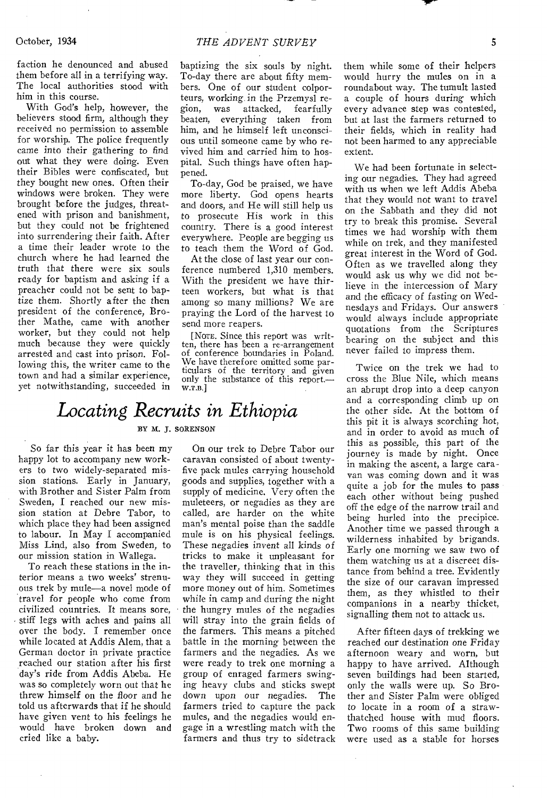faction he denounced and abused them before all in a terrifying way. The local authorities stood with him in this course.

With God's help, however, the believers stood firm, although they received no permission to assemble for worship. The police frequently came into their gathering to find out what they were doing. Even their Bibles were confiscated, but they bought new ones. Often their windows were broken. They were brought before the judges, threatened with prison and banishment, but they could not be frightened into surrendering their faith. After a time their leader wrote to the church where he had learned the truth that there were six souls ready for baptism and asking if a preacher could not be sent to baptize them. Shortly after the then president of the conference, Brother Mathe, came with another worker, but they could not help much because they were quickly arrested and cast into prison. Following this, the writer came to the town and had a similar experience, yet notwithstanding, succeeded in baptizing the six souls by night. To-day there are about fifty members. One of our student colporteurs, working in the Przemysl region, was attacked, fearfully beaten, everything taken from him, and he himself left unconscious until someone came by who revived him and carried him to hospital. Such things have often happened.

To-day, God be praised, we have more liberty. God opens hearts and doors, and He will still help us to prosecute His work in this country. There is a good interest everywhere. People are begging us to teach them the Word of *God.* 

At the close of last year our conference numbered 1,310 members. With the president we have thirteen workers, but what is that among so many millions? We are praying the Lord of the harvest to send more reapers.

[NOTE. Since this report was written, there has been a re-arrangement of conference boundaries in Poland. We have therefore omitted some particulars of the territory and given only the substance of this report. w.T.B.]

## *Locating Recruits in Ethiopia*  BY M. J. SORENSON

So far this year it has been my happy lot to accompany new workers to two widely-separated mission stations. Early in January, with Brother and Sister Palm from Sweden, I reached our new mission station at Debre Tabor, to which place they had been assigned to labour. In May I accompanied Miss Lind, also from Sweden, to our mission station in Wallega.

To reach these stations in the interior means a two weeks' strenuous trek by mule—a novel mode of travel for people who come from civilized countries. It means sore, stiff legs with aches and pains all over the body. I remember once while located at Addis Alem, that a German doctor in private practice reached our station after his first day's ride from Addis Abeba. He was so completely worn out that he threw himself on the floor and he told us afterwards that if he should have given vent to his feelings he would have broken down and cried like a baby.

On our trek to Debre Tabor our caravan consisted of about twentyfive pack mules carrying household goods and supplies, together with a supply of medicine. Very often the muleteers, or negadies as they are called, are harder on the white man's mental poise than the saddle mule is on his physical feelings. These negadies invent all kinds of tricks to make it unpleasant for the traveller, thinking that in this way they will succeed in getting more money out of him. Sometimes while in camp and during the night the hungry mules of the negadies will stray into the grain fields of the farmers. This means a pitched battle in the morning between the farmers and the negadies. As we were ready to trek one morning a group of enraged farmers swinging heavy clubs and sticks swept down upon our negadies. The farmers tried to capture the pack mules, and the negadies would engage in a wrestling match with the farmers and thus try to sidetrack

them while some of their helpers would hurry the mules on in a roundabout way. The tumult lasted a couple of hours during which every advance step was contested, but at last the farmers returned to their fields, which in reality had not been harmed to any appreciable extent.

We had been fortunate in selecting our negadies. They had agreed with us when we left Addis Abeba that they would not want to travel on the Sabbath and they did not try to break this promise. Several times we had worship with them while on trek, and they manifested great interest in the Word of God. Often as we travelled along they would ask us why we did not believe in the intercession of Mary and the efficacy of fasting on Wednesdays and Fridays. Our answers would always include appropriate quotations from the Scriptures bearing on the subject and this never failed to impress them.

Twice on the trek we had to cross the Blue Nile, which means an abrupt drop into a deep canyon and a corresponding climb up on the other side. At the bottom of this pit it is always scorching hot, and in order to avoid as much of this as possible, this part of the journey is made by night. Once in making the ascent, a large caravan was coming down and it was quite a job for the mules to pass each other without being pushed off the edge of the narrow trail and being hurled into the precipice. Another time we passed through a wilderness inhabited by brigands. Early one morning we saw two of them watching us at a discreet distance from behind a tree. Evidently the size of our caravan impressed them, as they whistled to their companions in a nearby thicket, signalling them not to attack us.

After fifteen days of trekking we reached our destination one Friday afternoon weary and worn, but happy to have arrived. Although seven buildings had been started, only the walls were up. So Brother and Sister Palm were obliged to locate in a room of a strawthatched house with mud floors. Two rooms of this same building were used as a stable for horses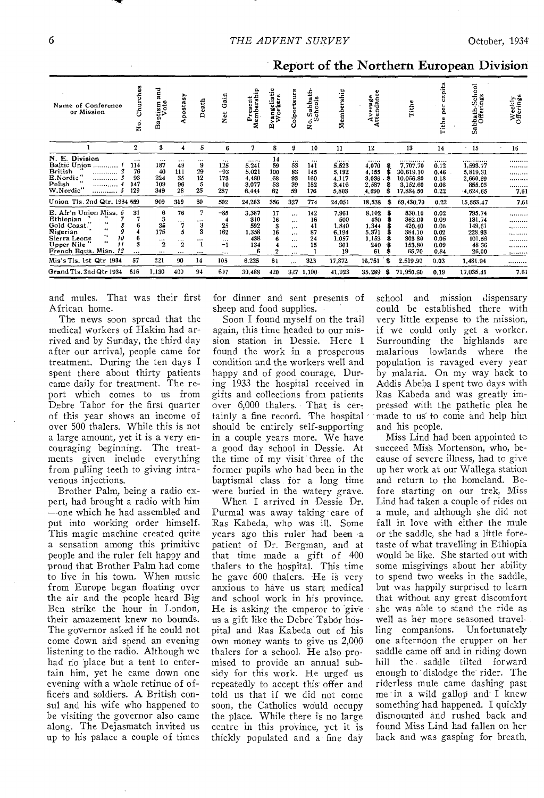| Name of Conference<br>or Mission                                                                                                                | Churches<br>ė.                            | 겯<br>ಡ<br>ptism<br>Vote<br>å                        | postasy<br>4                                     | Death                                           | ain<br>O<br>t<br>ž                                 | Present<br>Membershir                           | igelistic<br>wkers<br>ng<br>No<br>凹 | Colporteurs                                                       | Sabbath-<br>chools<br>$\dot{\circ}$<br>z | Membership                                           | Average<br>Attendance                                | Tithe                                                                                | pita<br>ω<br>۰<br>ក<br>ដ                             | School<br>Sabbath-Scho<br>Offerings                              | Weekly<br>Offerings           |
|-------------------------------------------------------------------------------------------------------------------------------------------------|-------------------------------------------|-----------------------------------------------------|--------------------------------------------------|-------------------------------------------------|----------------------------------------------------|-------------------------------------------------|-------------------------------------|-------------------------------------------------------------------|------------------------------------------|------------------------------------------------------|------------------------------------------------------|--------------------------------------------------------------------------------------|------------------------------------------------------|------------------------------------------------------------------|-------------------------------|
|                                                                                                                                                 | $\boldsymbol{2}$                          | 3                                                   | 4                                                | 5                                               | 6                                                  | 7                                               | 8                                   | 9                                                                 | 10                                       | 11                                                   | 12                                                   | 13                                                                                   | 14                                                   | $\cdot$ 15                                                       | 16                            |
| N. E. Division<br>Baltic Union<br><b>British</b><br><i></i><br>E.Nordic."<br>Polish<br><br><br>W.Nordic"<br>.                                   | $\cdots$<br>114<br>76<br>93<br>147<br>129 | <br>187<br>40<br>224<br>109<br>349                  | $\cdots$<br>49<br>111<br>35<br>96<br>28          | $\cdots$<br>9<br>29<br>12<br>5<br>25            | <br>125<br>$-93$<br>173<br>10<br>287               | <br>5.241<br>5.021<br>4,480<br>3,077<br>6,444   | 14<br>59<br>100<br>.68<br>53<br>62  | $\cdots$<br>53<br>83<br>93<br>39<br>59                            | <br>141<br>145<br>160<br>152<br>176      | <br>5,523<br>5.192<br>4.117<br>3,416<br>5,803        | <br>4,070<br>4.155<br>3.036<br>2,587<br>4,690<br>£   | . <b>.</b> <i>.</i> .<br>7.707.70<br>30.619.10<br>10.066.80<br>3.152.60<br>17.884.50 | <br>0.12<br>0.46<br>0.18<br>0.08<br>0.22             | .<br>1,593.77<br>5,819.31<br>2.660.69<br>855,05<br>4,624,65      | .<br><br>.<br>.<br>.<br>7.61  |
| Union Tls. 2nd Qtr. 1934 559                                                                                                                    |                                           | 909                                                 | 319                                              | 80                                              | 502                                                | 24,263                                          | 356                                 | 327                                                               | 774                                      | 24,051                                               | 18,538<br>s                                          | 69,430.70                                                                            | 0.22                                                 | 15,553.47                                                        | 7.61                          |
| B. Afr'n Union Miss. 6<br>Ethiopian<br>Gold Coast.<br>4.6<br>Nigerian<br>Sierra Leone<br>10<br>$\bullet$<br>Upper Nile<br>French Equa. Misn. 12 | 31<br>$\cdots$                            | 6<br>3<br>35<br>175<br>$\cdots$<br>$\mathbf{2}$<br> | 76<br>$\cdots$<br>7<br>5<br><br>$\mathbf{2}$<br> | 7<br>$\cdots$<br>3<br>3<br>$\cdots$<br>$\cdots$ | $-85$<br>25<br>162<br>$\cdots$<br>$-1$<br>$\cdots$ | 3,387<br>310<br>592<br>1,358<br>438<br>134<br>6 | 17<br>16<br>3<br>16<br>6<br>2       | <br><br>$\cdots$<br>$\cdots$<br>$\cdots$<br>$\ddotsc$<br>$\cdots$ | 142<br>16<br>41<br>87<br>24<br>15        | 7,961<br>500<br>1,840<br>6,194<br>1.057<br>301<br>19 | 8,102<br>480<br>1.344<br>5,371<br>1,153<br>240<br>61 | 830.10<br>362.00<br>420.40<br>384.10<br>303 80<br>153.80<br>65.70                    | 0.02<br>0.09<br>0.06<br>0,02<br>0.05<br>0.09<br>0.84 | 795.74<br>131.74<br>149.61<br>228.93<br>101.56<br>48 36<br>26,00 | .<br><br>.<br>.<br>.<br>.<br> |
| Mis's Tls, 1st Qtr 1934                                                                                                                         | 57                                        | 221                                                 | 90                                               | 14                                              | 105                                                | 6.225                                           | 64                                  | $\cdots$                                                          | 323                                      | 17,872                                               | -8<br>16,751                                         | 2.519.90                                                                             | 0.03                                                 | 1.481.94                                                         |                               |
| Grand Tis, 2nd Qtr 1934                                                                                                                         | 616                                       | 1,130                                               | 409                                              | 94                                              | 6)7                                                | 30,483                                          | 420                                 | 327                                                               | 1,100                                    | 41.923                                               | 35.289<br>\$                                         | 71,950.60                                                                            | 0.19                                                 | 17.035.41                                                        | 7.61                          |

Report of the Northern European Division

and mules. That was their first African home.

The news soon spread that the medical workers of Hakim had arrived and by Sunday, the third day after our arrival, people came for treatment. During the ten days I spent there about thirty patients came daily for treatment. The report which comes to us from Debre Tabor for the first quarter of this year shows an income of over 500 thalers. While this is not a large amount, yet it is a very encouraging beginning. The treatments given include everything from pulling teeth to giving intravenous injections.

Brother Palm, being a radio expert, had brought a radio with him --one which he had assembled and put into working order himself. This magic machine created quite a sensation among this primitive people and the ruler felt happy and proud that Brother Palm had come to live in his town. When music from Europe began floating over the air and the people heard Big Ben strike the hour in London, their amazement knew no bounds. The governor asked if he could not come down and spend an evening listening to the radio. Although we had no place but a tent to entertain him, yet he came down one evening with a whole retinue of officers and soldiers. A British consul and his wife who happened to be visiting the governor also came along. The Dejasmatch invited us up to his palace a couple of times

for dinner and sent presents of sheep and food supplies.

Soon I found myself on the trail again, this time headed to our mission station in Dessie. Here I found the work in a prosperous condition and the workers well and happy and of good courage. During 1933 the hospital received in gifts and collections from patients over 6,000 thalers. That is certainly a fine record. The hospital should be entirely self-supporting in a couple years more. We have a good day school in Dessie. At the time of my visit three of the former pupils who had been in the baptismal class for a long time were buried in the watery grave.

When I arrived in Dessie Dr. Purmal was away taking care of Ras Kabeda, who was ill. Some years ago this ruler had been a patient of Dr. Bergman, and at that time made a gift of 400 thalers to the hospital. This time he gave 600 thalers. He is very anxious to have us start medical and school work in his province. He is asking the emperor to give us a gift like the Debre Tabor hospital and Ras Kabeda out of his own money wants to give us 2,000 thalers for a school. He also promised to provide an annual subsidy for this work. He urged us repeatedly to accept this offer and told us that if we did not come soon, the Catholics would occupy the place. While there is no large centre in this province, yet it is thickly populated and a fine day

school and mission dispensary could be established there with very little expense to the mission, if we could only get a worker. Surrounding the highlands are malarious lowlands where the population is ravaged every year by malaria. On my way back to Addis Abeba I spent two days with Ras Kabeda and was greatly impressed with the pathetic plea he made to us to come and help him and his people.

Miss Lind had been appointed to succeed Mis's Mortenson, who, because of severe illness, had to give up her work at our Wallega station and return to the homeland. Before starting on our trek, Miss Lind had taken a couple of rides on a mule, and although she did not fall in love with either the mule or the saddle, she had a little foretaste of what travelling in Ethiopia would be like. She started out with some misgivings about her ability to spend two weeks in the saddle, but was happily surprised to learn that without any great discomfort she was able to stand the ride as well as her more seasoned travel-<br>ling companions. Unfortunately ling companions. one afternoon the crupper on her saddle came off and in riding down hill the saddle tilted forward enough to dislodge the rider. The riderless mule came dashing past me in a wild gallop and I knew something had happened. I quickly dismounted and rushed back and found Miss Lind had fallen on her back and was gasping for breath.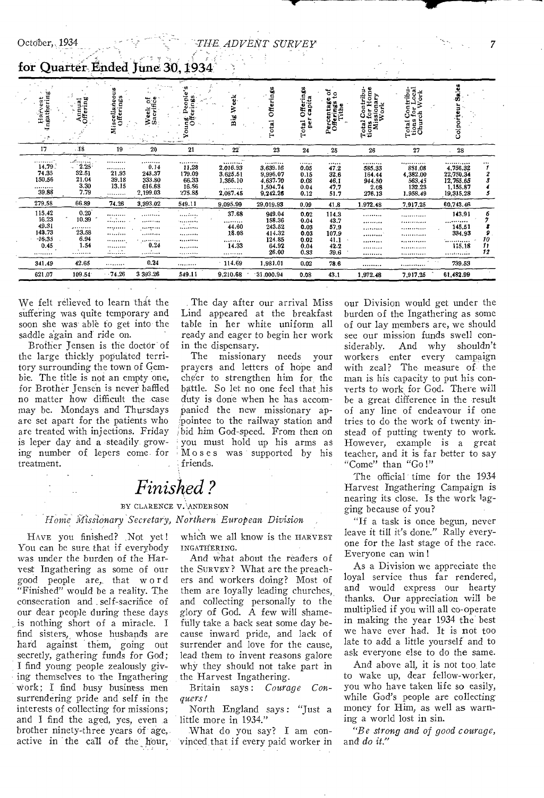*-THE. ADVENT SURVEY* 

| Harvest<br>Ingathering<br>- 2                  | Annual<br>Offering                                           | 3<br>õ<br>:llaneo:<br>erings<br>ē<br>Miscellar<br>Offerin | ್ರಕ್ಕೆ<br>Week<br>Sacrif                            | Ş<br>ŵ<br>É<br>٥<br>a,<br>c                      | ٠<br>eek<br>≽<br>ä                                   | Offerings<br>Total                                           | Offerings<br>capita<br>per<br>Total      | ថ្ងៃ<br>Percentage<br>Offerings<br>Tithe | Home<br>Total Contribu-<br>tions for Home<br>Missionary<br>Work | Contribu-<br>tor Local<br>ch Work<br>Total Co<br>tions for<br>Church | ж<br>Colport                                                                         |               |
|------------------------------------------------|--------------------------------------------------------------|-----------------------------------------------------------|-----------------------------------------------------|--------------------------------------------------|------------------------------------------------------|--------------------------------------------------------------|------------------------------------------|------------------------------------------|-----------------------------------------------------------------|----------------------------------------------------------------------|--------------------------------------------------------------------------------------|---------------|
| 17                                             | $-18$                                                        | 19                                                        | 20                                                  | 21                                               | 22<br>۰                                              | 23                                                           | 24                                       | 25                                       | 26                                                              | 27                                                                   | 28                                                                                   |               |
| <br>14.79.<br>74.35<br>150.56<br><br>39.88     | يتموه ومعكف<br>$\sim 2.25$<br>32.51<br>21.04<br>3.30<br>7.79 | <br><br>21.93<br>39.18<br>13.15<br>                       | .<br>0.14<br>243.37<br>333.80<br>616.68<br>2,199.03 | .<br>11,28<br>179.09<br>66.33<br>16.56<br>275.85 | <br>2,016.93<br>3.625.51<br>1,366.10<br><br>2,087.45 | <br>3,639.16<br>9,996.07<br>4,637.70<br>1,504.74<br>9,242.26 | <br>0.05<br>0.15<br>0.08<br>0.04<br>0.12 | <br>47.2<br>32,6<br>46,1<br>47.7<br>51.7 | .<br>585.33<br>164.44<br>944.50<br>2.08<br>276.13               | <br>881.08<br>4,382.00<br>563.45<br>132.23<br>1.958.49               | ,,,,,,,, <u>,,</u> ,,<br>4,756.32<br>22,750.34<br>12,765.65<br>1,155.87<br>19,315.28 | $\cdots$<br>5 |
| 279.58                                         | 66.89                                                        | 74.26                                                     | 3,393.02                                            | 549.11                                           | 9,095.99                                             | 29,019.93                                                    | 0.09                                     | 41.8                                     | 1.972.48                                                        | 7,917.25                                                             | 60,743.46                                                                            |               |
| 115.42<br>16.23<br>49.31<br>143.73<br>$-16.35$ | 0.20<br>10.39<br>.<br>23.58<br>6.94                          | <br><br><br><br>                                          | .<br>. <i>.</i><br>********<br>.<br>.               | .<br>.<br>.<br>.<br>                             | 37.68<br><br>44.60<br>18.08<br>                      | 949.04<br>158.36<br>243.52<br>414.32<br>124.85               | 0.02<br>0.04<br>0.03<br>0.03<br>0.02     | 114.3<br>43.7<br>57.9<br>107.9<br>41.1   | <br><br><br>                                                    | . <i>.</i> .<br>.<br>. <b>.</b> .<br>                                | 143.91<br><br>145,51<br>334.93<br>.                                                  | 6<br>9<br>10  |
| 0.45<br>                                       | 1.54<br>                                                     |                                                           | 0.24<br>.                                           | <br>.                                            | 14.33<br>                                            | 64.92<br>26.00                                               | 0.04<br>0.33                             | 42.2<br>39.6                             | <br><br>                                                        | .<br><b></b><br>                                                     | 115.18<br>.                                                                          | $_{1}$<br>12  |
| 341.49                                         | 42.65                                                        |                                                           | 0.24                                                |                                                  | $-114.69$                                            | 1,981.01                                                     | 0.02                                     | 78.6                                     |                                                                 |                                                                      | 739.53                                                                               |               |
| 621,07                                         | 109.54                                                       | $-74.26$                                                  | 3 393.26                                            | 549.11                                           | 9,210.68                                             | $-31,000.94$                                                 | 0.08                                     | 43.1                                     | 1,972.48                                                        | 7,917,25                                                             | 61,482.99                                                                            |               |

for Quarter Ended June 30, 1934.

"

We felt relieved to learn that the suffering was quite temporary and soon she was able to get into the saddle again and ride on.

Brother Jensen is the doctor of the large thickly populated territory surrounding the town of Gembie. The title is not an empty one, for Brother Jensen is never baffled no matter how difficult the case may be. Mondays and Thursdays are set apart for the patients who are treated with injections. Friday is leper day and a steadily growing number of lepers come for treatment.

The day after our arrival Miss Lind appeared at the breakfast table in her white uniform all ready and eager to begin her work in the dispensary.

The missionary needs your prayers and letters of hope and cheer to strengthen him for the battle. So let no one feel that his duty is done when he has accompanied the new missionary appointee to the railway station and bid him God-speed. From then on you must hold up his arms as Moses was supported by his friends.

## *Finished?*

#### BY CLARENCE V. ANDERSON

*Home Hissionary Secretary, Northern European Division* 

HAVE you finished? Not yet ! You can be sure that if everybody was under the burden of the Harvest Ingathering as some of our good people are,. that word "Finished" would be a reality. The consecration and . self-sacrifice of our dear people during these days is nothing short of a miracle. I find sisters, whose husbands are hard against them, going out secretly, gathering funds for God; I find young people zealously giving themselves to 'the Ingathering work; I find busy business men surrendering pride and self in the interests of collecting for missions; and I find the aged, yes, even a brother ninety-three years of age, active in 'the call of the hour,

which we all know is the HARVEST INGATHERING.

And what about the readers of the SURVEY? What are the preachers and workers doing? Most of them are loyally leading churches, and collecting personally to the glory of God. A few will shamefully take a back seat some day because inward pride, and lack of surrender and love for the cause, lead them to invent reasons galore why they should not take part in the Harvest Ingathering.

Britain says : *Courage Conquers!* 

North England says: "Just a little more in 1934."

What do you say? I am convinced that if every paid worker in

our Division would get under the burden of the Ingathering as some of our lay members are, we should see our mission funds swell considerably. And why shouldn't workers enter every campaign with zeal? The measure of the man is his capacity to put his converts to work for God. There will be a great difference in the result of any line of endeavour if one tries to do the work of twenty instead of putting twenty to work. However, example is a great teacher, and it is far better to say "Come" than "Go !"

The official time for the 1934 Harvest Ingathering Campaign is nearing its close. Is the work lagging because of you?

"If a task is once begun, never leave it till it's done." Rally everyone for the last stage of the race. Everyone can win !

As a Division we appreciate the loyal service thus far rendered, and would express our hearty thanks. Our appreciation will be multiplied if you will all co-operate in making the year 1934 the best we have ever had. It is not too late to add a little yourself and to ask everyone else to do the same.

And above all, it is not too late to wake up, dear fellow-worker, you who have taken life so easily, while God's people are collecting money for Him, as well as warning a world lost in sin.

*"Be strong and of good courage,*  and *do it,"*